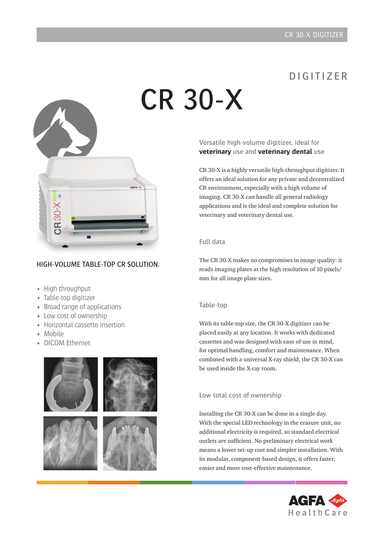# D I G I T I Z F R

# CR 30-X



#### HIGH-VOLUME TABLE-TOP CR SOLUTION.

- High throughput
- Table-top digitizer
- Broad range of applications
- Low cost of ownership
- Horizontal cassette insertion
- Mobile
- **DICOM Ethernet**



#### Versatile high-volume digitizer, ideal for **veterinary** use and **veterinary dental** use

CR 30-X is a highly versatile high-throughput digitizer. It offers an ideal solution for any private and decentralized CR environment, especially with a high volume of imaging. CR 30-X can handle all general radiology applications and is the ideal and complete solution for veterinary and veterinary dental use.

#### Full data

The CR 30-X makes no compromises in image quality: it reads imaging plates at the high resolution of 10 pixels/ mm for all image plate sizes.

#### Table-top

With its table-top size, the CR 30-X digitizer can be placed easily at any location. It works with dedicated cassettes and was designed with ease of use in mind, for optimal handling, comfort and maintenance. When combined with a universal X-ray shield, the CR 30-X can be used inside the X-ray room.

#### Low total cost of ownership

Installing the CR 30-X can be done in a single day. With the special LED technology in the erasure unit, no additional electricity is required, so standard electrical outlets are sufficient. No preliminary electrical work means a lower set-up cost and simpler installation. With its modular, component-based design, it offers faster, easier and more cost-effective maintenance.

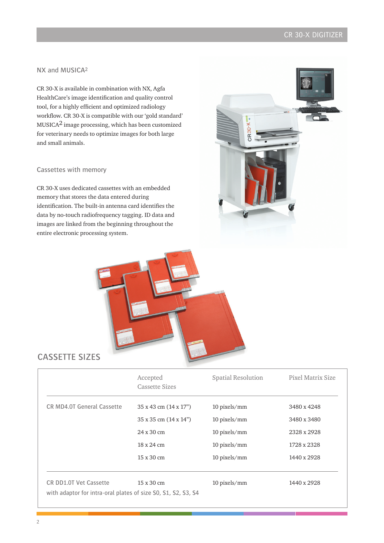## CR 30-X Digitizer

#### NX and MUSICA2

CR 30-X is available in combination with NX, Agfa HealthCare's image identification and quality control tool, for a highly efficient and optimized radiology workflow. CR 30-X is compatible with our 'gold standard'  $MUSICA<sup>2</sup>$  image processing, which has been customized for veterinary needs to optimize images for both large and small animals.

#### Cassettes with memory

CR 30-X uses dedicated cassettes with an embedded memory that stores the data entered during identification. The built-in antenna card identifies the data by no-touch radiofrequency tagging. ID data and images are linked from the beginning throughout the entire electronic processing system.





### CASSETTE SIZES

|                                                               | Accepted<br><b>Cassette Sizes</b>  | <b>Spatial Resolution</b> | Pixel Matrix Size |
|---------------------------------------------------------------|------------------------------------|---------------------------|-------------------|
| CR MD4.0T General Cassette                                    | $35 \times 43$ cm $(14 \times 17)$ | 10 pixels/mm              | 3480 x 4248       |
|                                                               | 35 x 35 cm (14 x 14")              | 10 pixels/mm              | 3480 x 3480       |
|                                                               | $24 \times 30 \text{ cm}$          | 10 pixels/mm              | 2328 x 2928       |
|                                                               | $18 \times 24$ cm                  | 10 pixels/mm              | 1728 x 2328       |
|                                                               | $15 \times 30 \text{ cm}$          | 10 pixels/mm              | 1440 x 2928       |
| <b>CR DD1.0T Vet Cassette</b>                                 | $15 \times 30 \text{ cm}$          | 10 pixels/mm              | 1440 x 2928       |
| with adaptor for intra-oral plates of size S0, S1, S2, S3, S4 |                                    |                           |                   |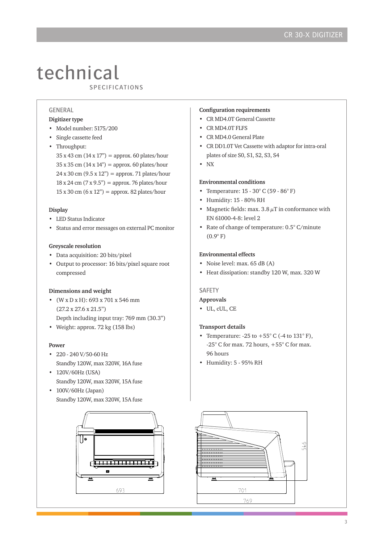# technical **LUUITILUAL**<br>SPECIFICATIONS

#### GENERAL

#### **Digitizer type**

- Model number: 5175/200
- Single cassette feed
- Throughput:
	- $35 \times 43$  cm  $(14 \times 17)$ <sup>"</sup> = approx. 60 plates/hour  $35 \times 35$  cm  $(14 \times 14")$  = approx. 60 plates/hour  $24 \times 30 \text{ cm } (9.5 \times 12)$  = approx. 71 plates/hour  $18 \times 24$  cm  $(7 \times 9.5)$ <sup>"</sup> = approx. 76 plates/hour  $15 \times 30$  cm  $(6 \times 12")$  = approx. 82 plates/hour

#### **Display**

- LED Status Indicator
- Status and error messages on external PC monitor

#### **Greyscale resolution**

- Data acquisition: 20 bits/pixel
- Output to processor: 16 bits/pixel square root compressed

#### **Dimensions and weight**

- (W x D x H): 693 x 701 x 546 mm (27.2 x 27.6 x 21.5") Depth including input tray: 769 mm (30.3")
- Weight: approx. 72 kg (158 lbs)

#### **Power**

- 220 240 V/50-60 Hz Standby 120W, max 320W, 16A fuse
- 120V/60Hz (USA) Standby 120W, max 320W, 15A fuse
- 100V/60Hz (Japan) Standby 120W, max 320W, 15A fuse



#### **Configuration requirements**

- CR MD4.0T General Cassette
- CR MD4.0T FLFS
- CR MD4.0 General Plate
- CR DD1.0T Vet Cassette with adaptor for intra-oral plates of size S0, S1, S2, S3, S4
- NX

#### **Environmental conditions**

- Temperature: 15 30° C (59 86° F)
- Humidity: 15 80% RH
- Magnetic fields: max.  $3.8 \mu$ T in conformance with EN 61000-4-8: level 2
- Rate of change of temperature: 0.5° C/minute  $(0.9^{\circ} F)$

#### **Environmental effects**

- Noise level: max. 65 dB (A)
- Heat dissipation: standby 120 W, max. 320 W

#### SAFETY

#### **Approvals**

• UL, cUL, CE

#### **Transport details**

- Temperature:  $-25$  to  $+55^{\circ}$  C ( $-4$  to  $131^{\circ}$  F), -25° C for max. 72 hours, +55° C for max. 96 hours
- Humidity: 5 95% RH